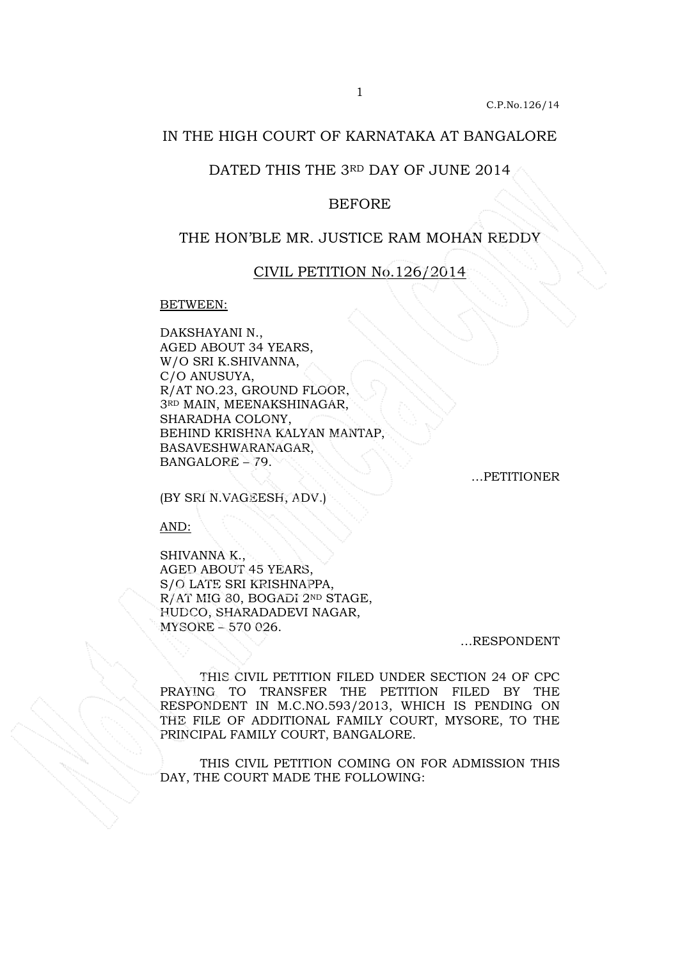# IN THE HIGH COURT OF KARNATAKA AT BANGALORE

## DATED THIS THE 3RD DAY OF JUNE 2014

#### BEFORE

### THE HON'BLE MR. JUSTICE RAM MOHAN REDDY

## CIVIL PETITION No.126/2014

#### BETWEEN:

DAKSHAYANI N., AGED ABOUT 34 YEARS, W/O SRI K.SHIVANNA, C/O ANUSUYA, R/AT NO.23, GROUND FLOOR, 3RD MAIN, MEENAKSHINAGAR, SHARADHA COLONY, BEHIND KRISHNA KALYAN MANTAP, BASAVESHWARANAGAR, BANGALORE – 79.

…PETITIONER

(BY SRI N.VAGEESH, ADV.)

AND:

SHIVANNA K., AGED ABOUT 45 YEARS, S/O LATE SRI KRISHNAPPA, R/AT MIG 80, BOGADI 2ND STAGE, HUDCO, SHARADADEVI NAGAR, MYSORE – 570 026.

…RESPONDENT

 THIS CIVIL PETITION FILED UNDER SECTION 24 OF CPC PRAYING TO TRANSFER THE PETITION FILED BY THE RESPONDENT IN M.C.NO.593/2013, WHICH IS PENDING ON THE FILE OF ADDITIONAL FAMILY COURT, MYSORE, TO THE PRINCIPAL FAMILY COURT, BANGALORE.

 THIS CIVIL PETITION COMING ON FOR ADMISSION THIS DAY, THE COURT MADE THE FOLLOWING: